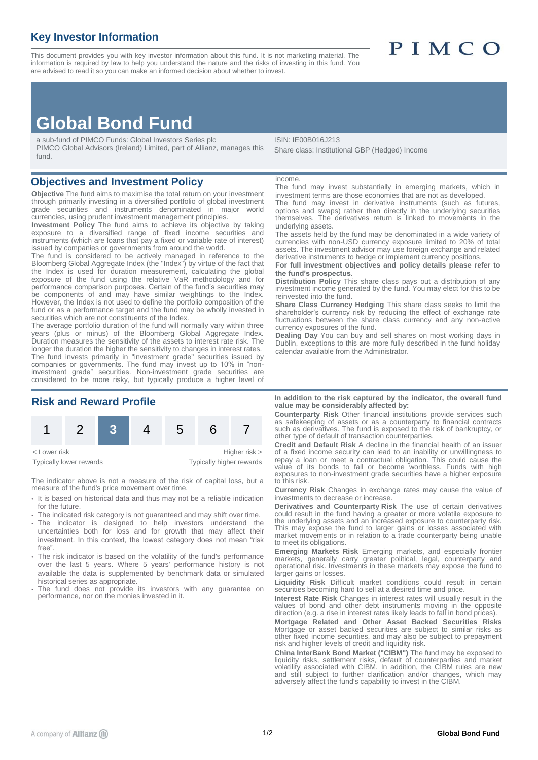## **Key Investor Information**

This document provides you with key investor information about this fund. It is not marketing material. The information is required by law to help you understand the nature and the risks of investing in this fund. You are advised to read it so you can make an informed decision about whether to invest.

# PIMCO

# **Global Bond Fund**

a sub-fund of PIMCO Funds: Global Investors Series plc PIMCO Global Advisors (Ireland) Limited, part of Allianz, manages this fund.

### **Objectives and Investment Policy**

**Objective** The fund aims to maximise the total return on your investment through primarily investing in a diversified portfolio of global investment grade securities and instruments denominated in major world currencies, using prudent investment management principles.

**Investment Policy** The fund aims to achieve its objective by taking exposure to a diversified range of fixed income securities and instruments (which are loans that pay a fixed or variable rate of interest) issued by companies or governments from around the world.

The fund is considered to be actively managed in reference to the Bloomberg Global Aggregate Index (the "Index") by virtue of the fact that the Index is used for duration measurement, calculating the global exposure of the fund using the relative VaR methodology and for performance comparison purposes. Certain of the fund's securities may be components of and may have similar weightings to the Index. However, the Index is not used to define the portfolio composition of the fund or as a performance target and the fund may be wholly invested in securities which are not constituents of the Index.

The average portfolio duration of the fund will normally vary within three years (plus or minus) of the Bloomberg Global Aggregate Index. Duration measures the sensitivity of the assets to interest rate risk. The longer the duration the higher the sensitivity to changes in interest rates. The fund invests primarily in "investment grade" securities issued by companies or governments. The fund may invest up to 10% in "noninvestment grade" securities. Non-investment grade securities are considered to be more risky, but typically produce a higher level of

## **Risk and Reward Profile**



Typically lower rewards Typically higher rewards

The indicator above is not a measure of the risk of capital loss, but a measure of the fund's price movement over time.

- It is based on historical data and thus may not be a reliable indication for the future.
- The indicated risk category is not guaranteed and may shift over time.
- The indicator is designed to help investors understand the uncertainties both for loss and for growth that may affect their investment. In this context, the lowest category does not mean "risk free".
- The risk indicator is based on the volatility of the fund's performance over the last 5 years. Where 5 years' performance history is not available the data is supplemented by benchmark data or simulated historical series as appropriate.
- The fund does not provide its investors with any guarantee on performance, nor on the monies invested in it.

#### ISIN: IE00B016J213 Share class: Institutional GBP (Hedged) Income

#### income.

The fund may invest substantially in emerging markets, which in investment terms are those economies that are not as developed.

The fund may invest in derivative instruments (such as futures, options and swaps) rather than directly in the underlying securities themselves. The derivatives return is linked to movements in the underlying assets.

The assets held by the fund may be denominated in a wide variety of currencies with non-USD currency exposure limited to 20% of total assets. The investment advisor may use foreign exchange and related derivative instruments to hedge or implement currency positions.

**For full investment objectives and policy details please refer to the fund's prospectus.**

**Distribution Policy** This share class pays out a distribution of any investment income generated by the fund. You may elect for this to be reinvested into the fund.

**Share Class Currency Hedging** This share class seeks to limit the shareholder's currency risk by reducing the effect of exchange rate fluctuations between the share class currency and any non-active currency exposures of the fund.

**Dealing Day** You can buy and sell shares on most working days in Dublin, exceptions to this are more fully described in the fund holiday calendar available from the Administrator.

#### **In addition to the risk captured by the indicator, the overall fund value may be considerably affected by:**

**Counterparty Risk** Other financial institutions provide services such as safekeeping of assets or as a counterparty to financial contracts such as derivatives. The fund is exposed to the risk of bankruptcy, or other type of default of transaction counterparties.

**Credit and Default Risk** A decline in the financial health of an issuer of a fixed income security can lead to an inability or unwillingness to repay a loan or meet a contractual obligation. This could cause the value of its bonds to fall or become worthless. Funds with high exposures to non-investment grade securities have a higher exposure to this risk.

**Currency Risk** Changes in exchange rates may cause the value of investments to decrease or increase.

**Derivatives and Counterparty Risk** The use of certain derivatives could result in the fund having a greater or more volatile exposure to the underlying assets and an increased exposure to counterparty risk. This may expose the fund to larger gains or losses associated with market movements or in relation to a trade counterparty being unable to meet its obligations.

**Emerging Markets Risk** Emerging markets, and especially frontier markets, generally carry greater political, legal, counterparty and operational risk. Investments in these markets may expose the fund to larger gains or losses.

**Liquidity Risk** Difficult market conditions could result in certain securities becoming hard to sell at a desired time and price.

**Interest Rate Risk** Changes in interest rates will usually result in the values of bond and other debt instruments moving in the opposite direction (e.g. a rise in interest rates likely leads to fall in bond prices).

**Mortgage Related and Other Asset Backed Securities Risks** Mortgage or asset backed securities are subject to similar risks as other fixed income securities, and may also be subject to prepayment risk and higher levels of credit and liquidity risk.

**China InterBank Bond Market ("CIBM")** The fund may be exposed to liquidity risks, settlement risks, default of counterparties and market volatility associated with CIBM. In addition, the CIBM rules are new and still subject to further clarification and/or changes, which may adversely affect the fund's capability to invest in the CIBM.